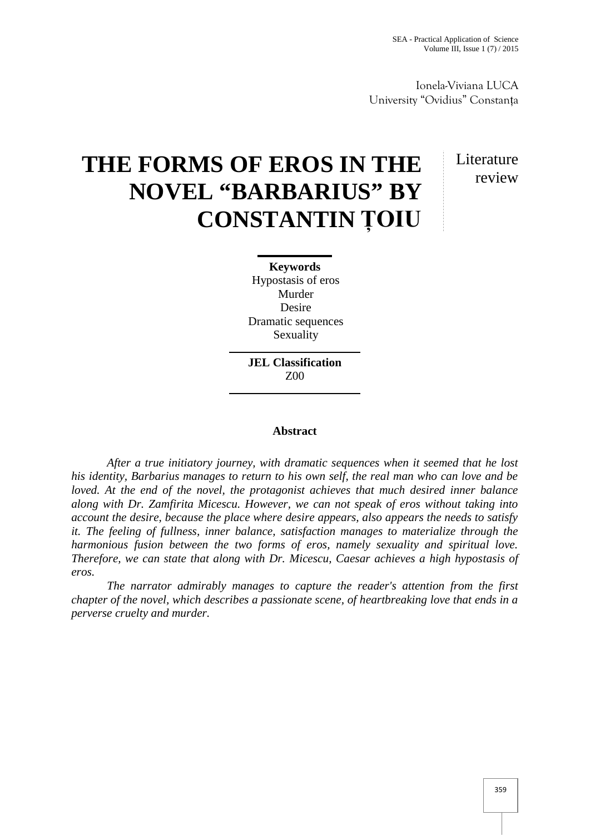Ionela-Viviana LUCA University "Ovidius" Constanța

## **THE FORMS OF EROS IN THE NOVEL "BARBARIUS" BY CONSTANTIN ȚOIU**

## Literature review

**Keywords** Hypostasis of eros Murder Desire Dramatic sequences Sexuality

**JEL Classification** Z00

## **Abstract**

*After a true initiatory journey, with dramatic sequences when it seemed that he lost his identity, Barbarius manages to return to his own self, the real man who can love and be loved. At the end of the novel, the protagonist achieves that much desired inner balance along with Dr. Zamfirita Micescu. However, we can not speak of eros without taking into account the desire, because the place where desire appears, also appears the needs to satisfy it. The feeling of fullness, inner balance, satisfaction manages to materialize through the harmonious fusion between the two forms of eros, namely sexuality and spiritual love. Therefore, we can state that along with Dr. Micescu, Caesar achieves a high hypostasis of eros.*

*The narrator admirably manages to capture the reader's attention from the first chapter of the novel, which describes a passionate scene, of heartbreaking love that ends in a perverse cruelty and murder.*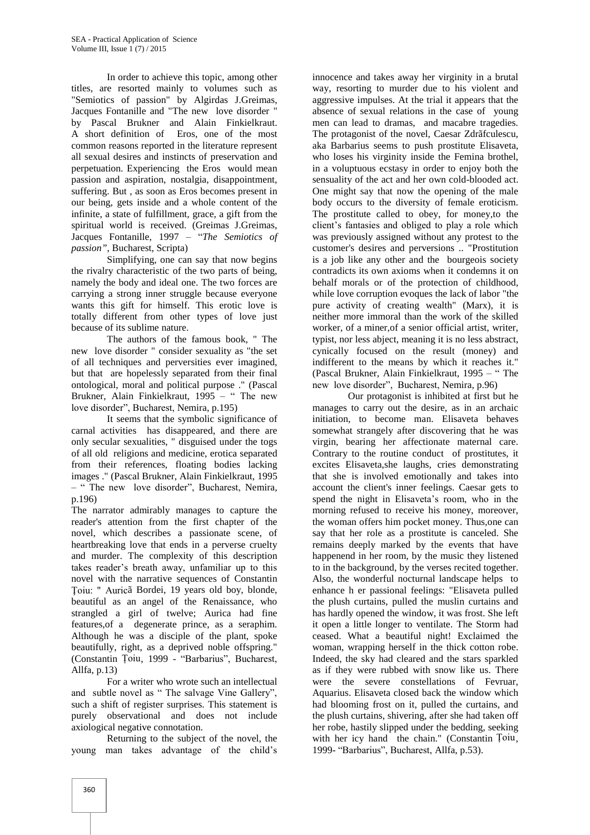In order to achieve this topic, among other titles, are resorted mainly to volumes such as "Semiotics of passion" by Algirdas J.Greimas, Jacques Fontanille and "The new love disorder " by Pascal Brukner and Alain Finkielkraut. A short definition of Eros, one of the most common reasons reported in the literature represent all sexual desires and instincts of preservation and perpetuation. Experiencing the Eros would mean passion and aspiration, nostalgia, disappointment, suffering. But , as soon as Eros becomes present in our being, gets inside and a whole content of the infinite, a state of fulfillment, grace, a gift from the spiritual world is received. (Greimas J.Greimas, Jacques Fontanille, 1997 – "*The Semiotics of passion"*, Bucharest, Scripta)

Simplifying, one can say that now begins the rivalry characteristic of the two parts of being, namely the body and ideal one. The two forces are carrying a strong inner struggle because everyone wants this gift for himself. This erotic love is totally different from other types of love just because of its sublime nature.

The authors of the famous book, " The new love disorder " consider sexuality as "the set of all techniques and perversities ever imagined, but that are hopelessly separated from their final ontological, moral and political purpose ." (Pascal Brukner, Alain Finkielkraut, 1995 – " The new love disorder", Bucharest, Nemira, p.195)

It seems that the symbolic significance of carnal activities has disappeared, and there are only secular sexualities, " disguised under the togs of all old religions and medicine, erotica separated from their references, floating bodies lacking images ." (Pascal Brukner, Alain Finkielkraut, 1995 – " The new love disorder", Bucharest, Nemira, p.196)

The narrator admirably manages to capture the reader's attention from the first chapter of the novel, which describes a passionate scene, of heartbreaking love that ends in a perverse cruelty and murder. The complexity of this description takes reader's breath away, unfamiliar up to this novel with the narrative sequences of Constantin Ţoiu: " Auricã Bordei, 19 years old boy, blonde, beautiful as an angel of the Renaissance, who strangled a girl of twelve; Aurica had fine features,of a degenerate prince, as a seraphim. Although he was a disciple of the plant, spoke beautifully, right, as a deprived noble offspring." (Constantin Țoiu, 1999 - "Barbarius", Bucharest, Allfa, p.13)

For a writer who wrote such an intellectual and subtle novel as " The salvage Vine Gallery", such a shift of register surprises. This statement is purely observational and does not include axiological negative connotation.

Returning to the subject of the novel, the young man takes advantage of the child's

innocence and takes away her virginity in a brutal way, resorting to murder due to his violent and aggressive impulses. At the trial it appears that the absence of sexual relations in the case of young men can lead to dramas, and macabre tragedies. The protagonist of the novel, Caesar Zdrãfculescu, aka Barbarius seems to push prostitute Elisaveta, who loses his virginity inside the Femina brothel, in a voluptuous ecstasy in order to enjoy both the sensuality of the act and her own cold-blooded act. One might say that now the opening of the male body occurs to the diversity of female eroticism. The prostitute called to obey, for money,to the client's fantasies and obliged to play a role which was previously assigned without any protest to the customer's desires and perversions .. "Prostitution is a job like any other and the bourgeois society contradicts its own axioms when it condemns it on behalf morals or of the protection of childhood, while love corruption evoques the lack of labor "the pure activity of creating wealth" (Marx), it is neither more immoral than the work of the skilled worker, of a miner,of a senior official artist, writer, typist, nor less abject, meaning it is no less abstract, cynically focused on the result (money) and indifferent to the means by which it reaches it." (Pascal Brukner, Alain Finkielkraut, 1995 – " The new love disorder", Bucharest, Nemira, p.96)

Our protagonist is inhibited at first but he manages to carry out the desire, as in an archaic initiation, to become man. Elisaveta behaves somewhat strangely after discovering that he was virgin, bearing her affectionate maternal care. Contrary to the routine conduct of prostitutes, it excites Elisaveta,she laughs, cries demonstrating that she is involved emotionally and takes into account the client's inner feelings. Caesar gets to spend the night in Elisaveta's room, who in the morning refused to receive his money, moreover, the woman offers him pocket money. Thus,one can say that her role as a prostitute is canceled. She remains deeply marked by the events that have happenend in her room, by the music they listened to in the background, by the verses recited together. Also, the wonderful nocturnal landscape helps to enhance h er passional feelings: "Elisaveta pulled the plush curtains, pulled the muslin curtains and has hardly opened the window, it was frost. She left it open a little longer to ventilate. The Storm had ceased. What a beautiful night! Exclaimed the woman, wrapping herself in the thick cotton robe. Indeed, the sky had cleared and the stars sparkled as if they were rubbed with snow like us. There were the severe constellations of Fevruar, Aquarius. Elisaveta closed back the window which had blooming frost on it, pulled the curtains, and the plush curtains, shivering, after she had taken off her robe, hastily slipped under the bedding, seeking with her icy hand the chain." (Constantin Țoiu, 1999- "Barbarius", Bucharest, Allfa, p.53).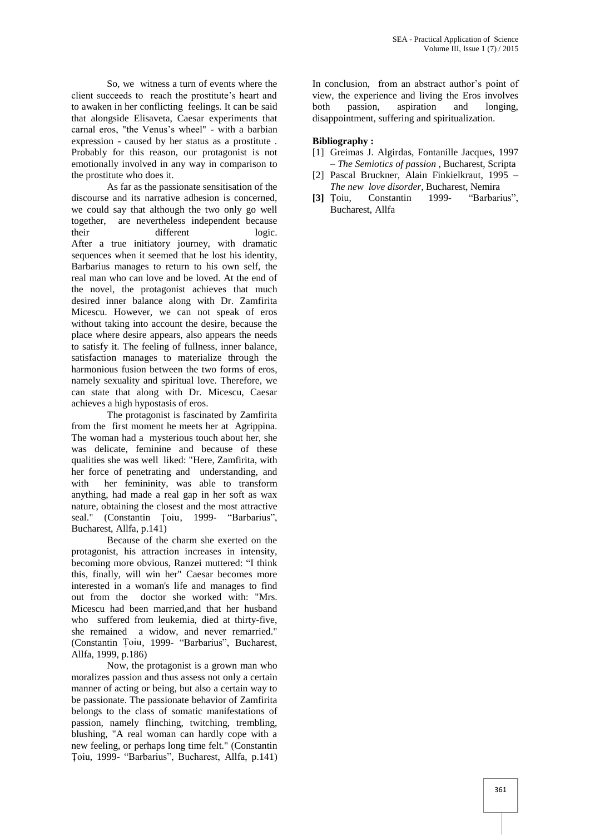So, we witness a turn of events where the client succeeds to reach the prostitute's heart and to awaken in her conflicting feelings. It can be said that alongside Elisaveta, Caesar experiments that carnal eros, "the Venus's wheel" - with a barbian expression - caused by her status as a prostitute . Probably for this reason, our protagonist is not emotionally involved in any way in comparison to the prostitute who does it.

As far as the passionate sensitisation of the discourse and its narrative adhesion is concerned, we could say that although the two only go well together, are nevertheless independent because their different logic. After a true initiatory journey, with dramatic sequences when it seemed that he lost his identity, Barbarius manages to return to his own self, the real man who can love and be loved. At the end of the novel, the protagonist achieves that much desired inner balance along with Dr. Zamfirita Micescu. However, we can not speak of eros without taking into account the desire, because the place where desire appears, also appears the needs to satisfy it. The feeling of fullness, inner balance, satisfaction manages to materialize through the harmonious fusion between the two forms of eros, namely sexuality and spiritual love. Therefore, we can state that along with Dr. Micescu, Caesar achieves a high hypostasis of eros.

The protagonist is fascinated by Zamfirita from the first moment he meets her at Agrippina. The woman had a mysterious touch about her, she was delicate, feminine and because of these qualities she was well liked: "Here, Zamfirita, with her force of penetrating and understanding, and with her femininity, was able to transform anything, had made a real gap in her soft as wax nature, obtaining the closest and the most attractive<br>seal." (Constantin Toiu. 1999- "Barbarius". (Constantin Toiu, 1999- "Barbarius", Bucharest, Allfa, p.141)

Because of the charm she exerted on the protagonist, his attraction increases in intensity, becoming more obvious, Ranzei muttered: "I think this, finally, will win her" Caesar becomes more interested in a woman's life and manages to find out from the doctor she worked with: "Mrs. Micescu had been married,and that her husband who suffered from leukemia, died at thirty-five, she remained a widow, and never remarried." (Constantin Țoiu, 1999- "Barbarius", Bucharest, Allfa, 1999, p.186)

Now, the protagonist is a grown man who moralizes passion and thus assess not only a certain manner of acting or being, but also a certain way to be passionate. The passionate behavior of Zamfirita belongs to the class of somatic manifestations of passion, namely flinching, twitching, trembling, blushing, "A real woman can hardly cope with a new feeling, or perhaps long time felt." (Constantin Țoiu, 1999- "Barbarius", Bucharest, Allfa, p.141)

In conclusion, from an abstract author's point of view, the experience and living the Eros involves passion, aspiration and longing, disappointment, suffering and spiritualization.

## **Bibliography :**

- [1] Greimas J. Algirdas, Fontanille Jacques, 1997 – *The Semiotics of passion* , Bucharest, Scripta
- [2] Pascal Bruckner, Alain Finkielkraut, 1995 *The new love disorder*, Bucharest, Nemira
- **[3]** Țoiu, Constantin 1999- "Barbarius", Bucharest, Allfa